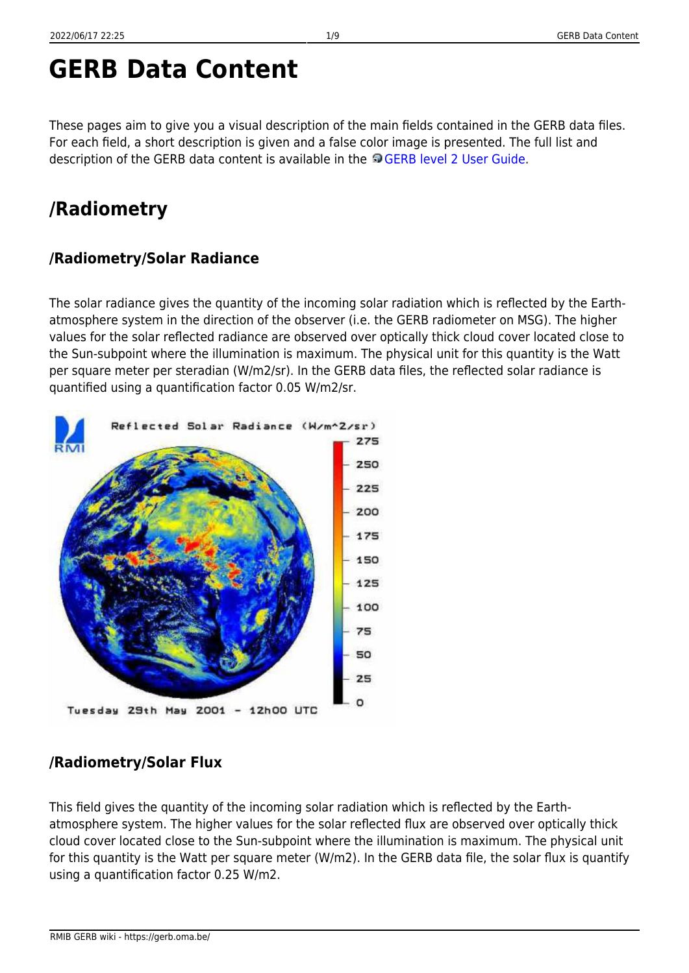# **GERB Data Content**

These pages aim to give you a visual description of the main fields contained in the GERB data files. For each field, a short description is given and a false color image is presented. The full list and description of the GERB data content is available in the [GERB level 2 User Guide](https://gerb.oma.be//Documents/userguide.pdf).

# **/Radiometry**

## **/Radiometry/Solar Radiance**

The solar radiance gives the quantity of the incoming solar radiation which is reflected by the Earthatmosphere system in the direction of the observer (i.e. the GERB radiometer on MSG). The higher values for the solar reflected radiance are observed over optically thick cloud cover located close to the Sun-subpoint where the illumination is maximum. The physical unit for this quantity is the Watt per square meter per steradian (W/m2/sr). In the GERB data files, the reflected solar radiance is quantified using a quantification factor 0.05 W/m2/sr.

## **/Radiometry/Solar Flux**

This field gives the quantity of the incoming solar radiation which is reflected by the Earthatmosphere system. The higher values for the solar reflected flux are observed over optically thick cloud cover located close to the Sun-subpoint where the illumination is maximum. The physical unit for this quantity is the Watt per square meter (W/m2). In the GERB data file, the solar flux is quantify using a quantification factor 0.25 W/m2.

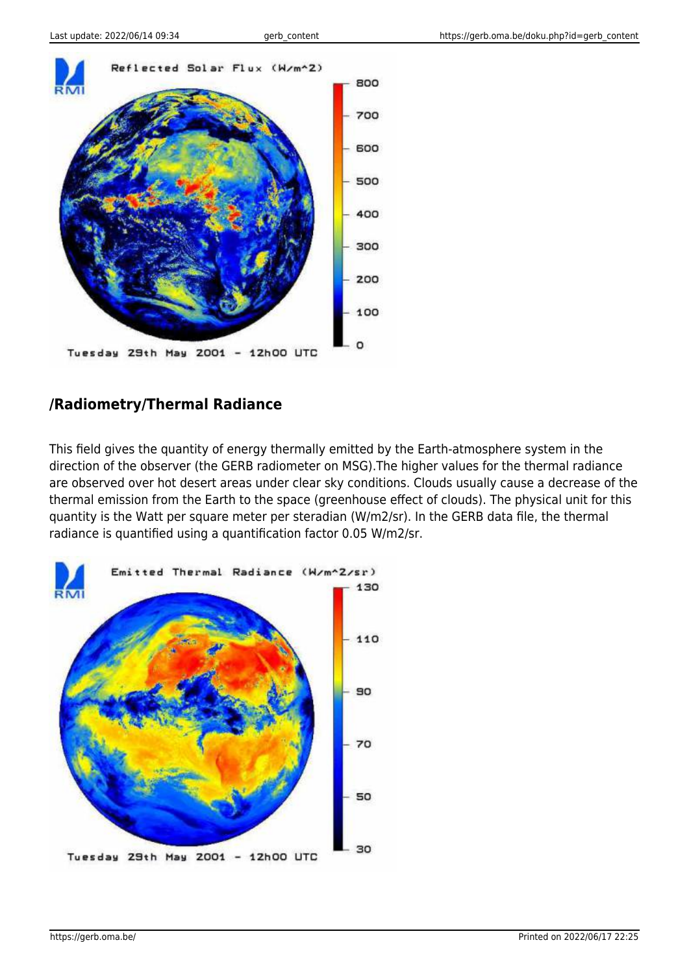

#### **/Radiometry/Thermal Radiance**

This field gives the quantity of energy thermally emitted by the Earth-atmosphere system in the direction of the observer (the GERB radiometer on MSG).The higher values for the thermal radiance are observed over hot desert areas under clear sky conditions. Clouds usually cause a decrease of the thermal emission from the Earth to the space (greenhouse effect of clouds). The physical unit for this quantity is the Watt per square meter per steradian (W/m2/sr). In the GERB data file, the thermal radiance is quantified using a quantification factor 0.05 W/m2/sr.

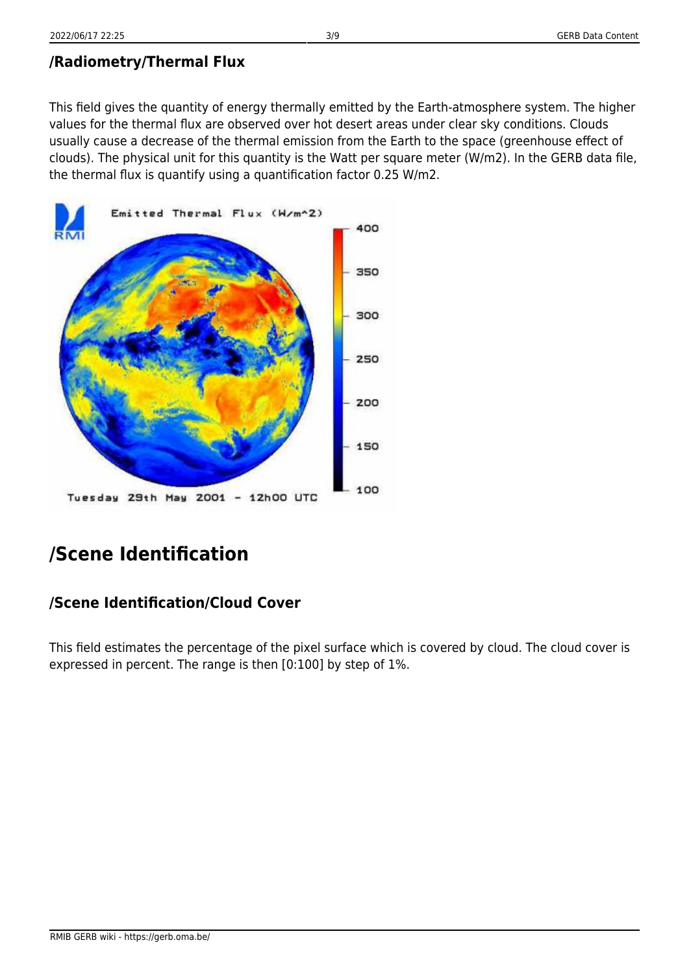#### **/Radiometry/Thermal Flux**

This field gives the quantity of energy thermally emitted by the Earth-atmosphere system. The higher values for the thermal flux are observed over hot desert areas under clear sky conditions. Clouds usually cause a decrease of the thermal emission from the Earth to the space (greenhouse effect of clouds). The physical unit for this quantity is the Watt per square meter (W/m2). In the GERB data file, the thermal flux is quantify using a quantification factor 0.25 W/m2.



# **/Scene Identification**

#### **/Scene Identification/Cloud Cover**

This field estimates the percentage of the pixel surface which is covered by cloud. The cloud cover is expressed in percent. The range is then [0:100] by step of 1%.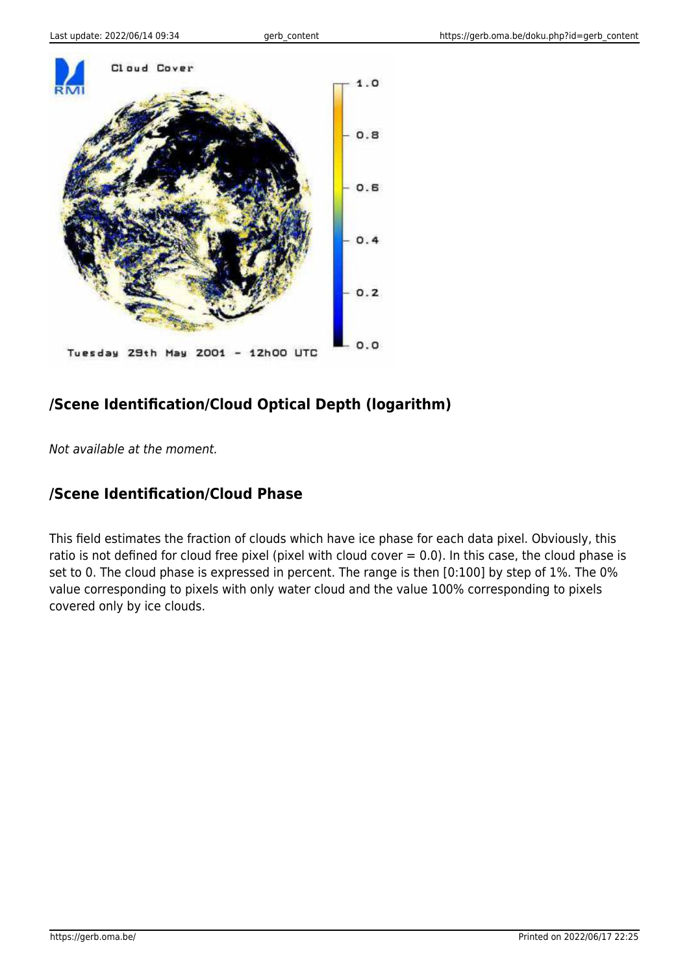

## **/Scene Identification/Cloud Optical Depth (logarithm)**

Not available at the moment.

#### **/Scene Identification/Cloud Phase**

This field estimates the fraction of clouds which have ice phase for each data pixel. Obviously, this ratio is not defined for cloud free pixel (pixel with cloud cover  $= 0.0$ ). In this case, the cloud phase is set to 0. The cloud phase is expressed in percent. The range is then [0:100] by step of 1%. The 0% value corresponding to pixels with only water cloud and the value 100% corresponding to pixels covered only by ice clouds.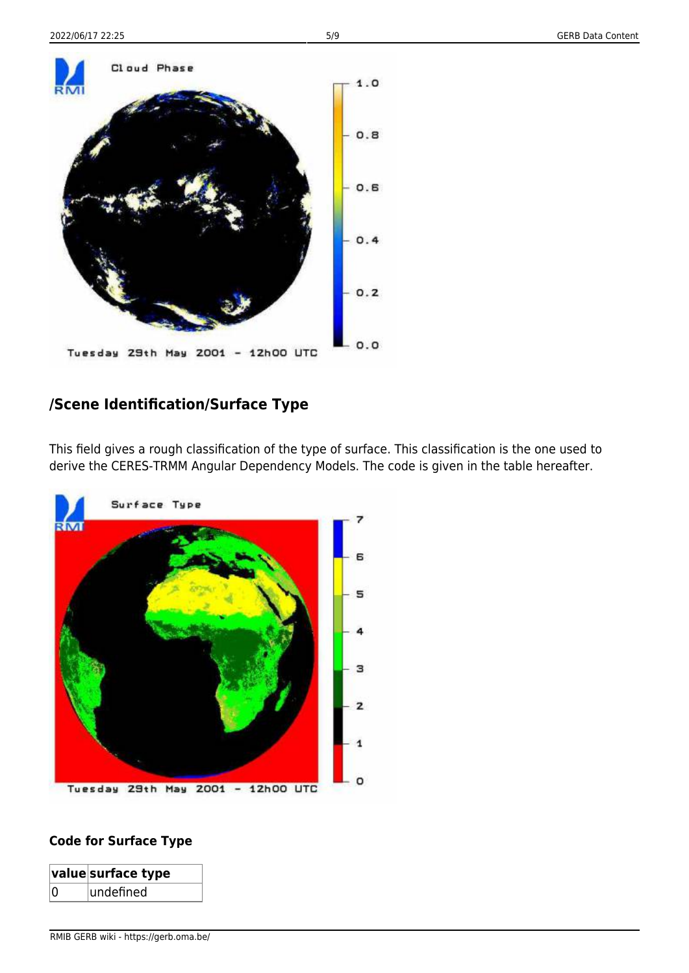

### **/Scene Identification/Surface Type**

This field gives a rough classification of the type of surface. This classification is the one used to derive the CERES-TRMM Angular Dependency Models. The code is given in the table hereafter.



#### **Code for Surface Type**

|    | $ \mathsf{value} $ surface type |
|----|---------------------------------|
| ۱n | undefined                       |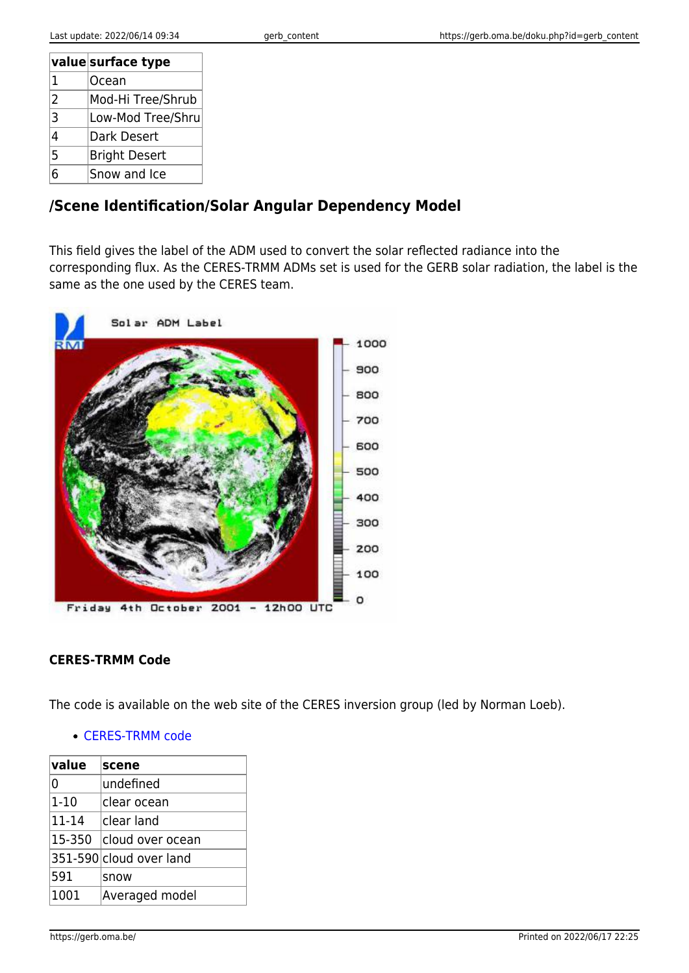|      | value surface type   |
|------|----------------------|
| 1    | Ocean                |
| 2    | Mod-Hi Tree/Shrub    |
| 3    | Low-Mod Tree/Shru    |
| 4    | Dark Desert          |
| 5    | <b>Bright Desert</b> |
| ่ คิ | Snow and Ice         |

### **/Scene Identification/Solar Angular Dependency Model**

This field gives the label of the ADM used to convert the solar reflected radiance into the corresponding flux. As the CERES-TRMM ADMs set is used for the GERB solar radiation, the label is the same as the one used by the CERES team.



#### **CERES-TRMM Code**

The code is available on the web site of the CERES inversion group (led by Norman Loeb).

#### [CERES-TRMM code](https://ceres.larc.nasa.gov/data/angular-distribution-models/)

| value    | scene                   |
|----------|-------------------------|
| 0        | undefined               |
| $1 - 10$ | clear ocean             |
| 11-14    | lclear land             |
| 15-350   | cloud over ocean        |
|          | 351-590 cloud over land |
| 591      | snow                    |
| 1001     | Averaged model          |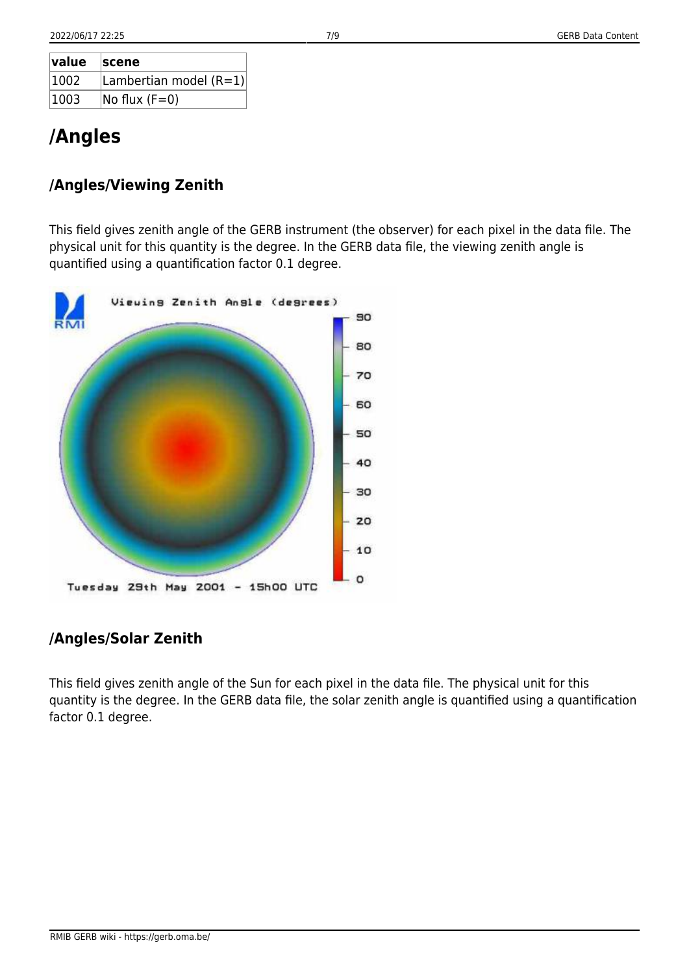| $\sf value$ | <b>Scene</b>                      |
|-------------|-----------------------------------|
| 1002        | Lambertian model $(R=1)$          |
| 1003        | $\overline{\text{No flux (F=0)}}$ |

# **/Angles**

### **/Angles/Viewing Zenith**

This field gives zenith angle of the GERB instrument (the observer) for each pixel in the data file. The physical unit for this quantity is the degree. In the GERB data file, the viewing zenith angle is quantified using a quantification factor 0.1 degree.



#### **/Angles/Solar Zenith**

This field gives zenith angle of the Sun for each pixel in the data file. The physical unit for this quantity is the degree. In the GERB data file, the solar zenith angle is quantified using a quantification factor 0.1 degree.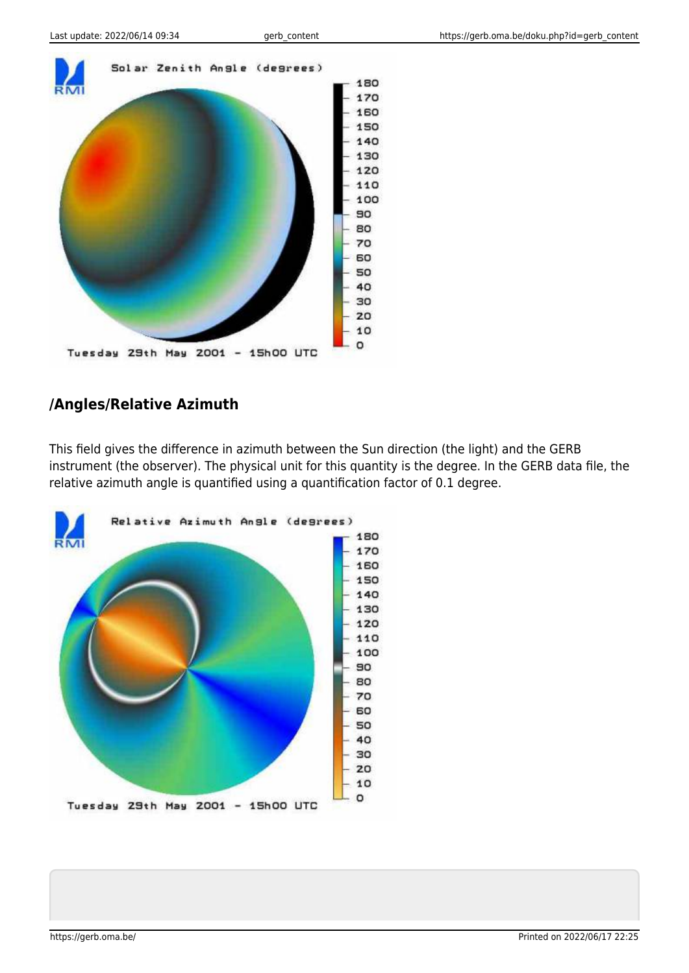

#### **/Angles/Relative Azimuth**

This field gives the difference in azimuth between the Sun direction (the light) and the GERB instrument (the observer). The physical unit for this quantity is the degree. In the GERB data file, the relative azimuth angle is quantified using a quantification factor of 0.1 degree.